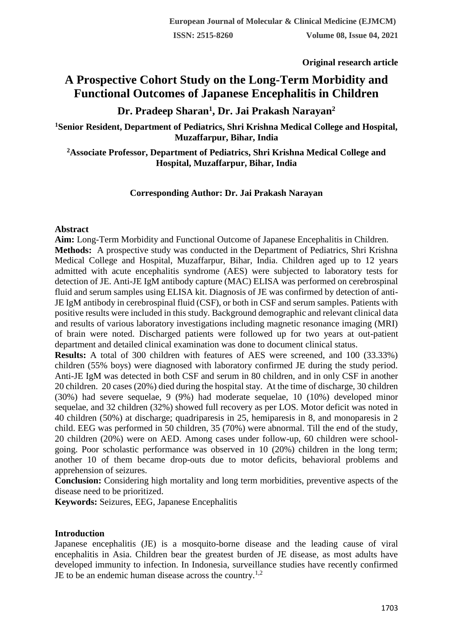**Original research article** 

# **A Prospective Cohort Study on the Long-Term Morbidity and Functional Outcomes of Japanese Encephalitis in Children**

**Dr. Pradeep Sharan<sup>1</sup> , Dr. Jai Prakash Narayan<sup>2</sup>**

**<sup>1</sup>Senior Resident, Department of Pediatrics, Shri Krishna Medical College and Hospital, Muzaffarpur, Bihar, India**

**<sup>2</sup>Associate Professor, Department of Pediatrics, Shri Krishna Medical College and Hospital, Muzaffarpur, Bihar, India**

# **Corresponding Author: Dr. Jai Prakash Narayan**

### **Abstract**

**Aim:** Long-Term Morbidity and Functional Outcome of Japanese Encephalitis in Children. **Methods:** A prospective study was conducted in the Department of Pediatrics, Shri Krishna Medical College and Hospital, Muzaffarpur, Bihar, India. Children aged up to 12 years admitted with acute encephalitis syndrome (AES) were subjected to laboratory tests for detection of JE. Anti-JE IgM antibody capture (MAC) ELISA was performed on cerebrospinal fluid and serum samples using ELISA kit. Diagnosis of JE was confirmed by detection of anti-JE IgM antibody in cerebrospinal fluid (CSF), or both in CSF and serum samples. Patients with positive results were included in this study. Background demographic and relevant clinical data and results of various laboratory investigations including magnetic resonance imaging (MRI) of brain were noted. Discharged patients were followed up for two years at out-patient department and detailed clinical examination was done to document clinical status.

**Results:** A total of 300 children with features of AES were screened, and 100 (33.33%) children (55% boys) were diagnosed with laboratory confirmed JE during the study period. Anti-JE IgM was detected in both CSF and serum in 80 children, and in only CSF in another 20 children. 20 cases (20%) died during the hospital stay. At the time of discharge, 30 children (30%) had severe sequelae, 9 (9%) had moderate sequelae, 10 (10%) developed minor sequelae, and 32 children (32%) showed full recovery as per LOS. Motor deficit was noted in 40 children (50%) at discharge; quadriparesis in 25, hemiparesis in 8, and monoparesis in 2 child. EEG was performed in 50 children, 35 (70%) were abnormal. Till the end of the study, 20 children (20%) were on AED. Among cases under follow-up, 60 children were schoolgoing. Poor scholastic performance was observed in 10 (20%) children in the long term; another 10 of them became drop-outs due to motor deficits, behavioral problems and apprehension of seizures.

**Conclusion:** Considering high mortality and long term morbidities, preventive aspects of the disease need to be prioritized.

**Keywords:** Seizures, EEG, Japanese Encephalitis

# **Introduction**

Japanese encephalitis (JE) is a mosquito-borne disease and the leading cause of viral encephalitis in Asia. Children bear the greatest burden of JE disease, as most adults have developed immunity to infection. In Indonesia, surveillance studies have recently confirmed JE to be an endemic human disease across the country.1,2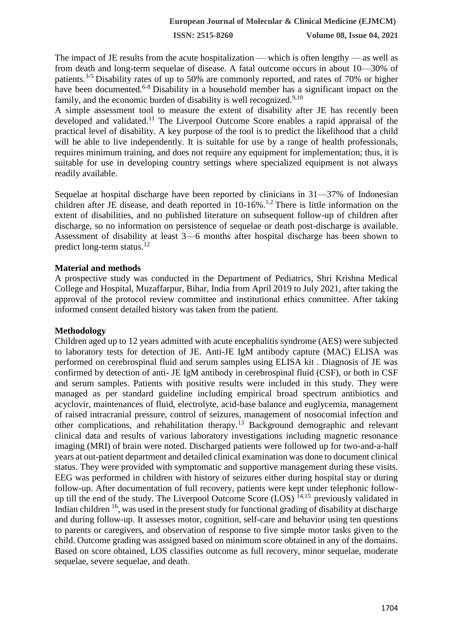**ISSN: 2515-8260 Volume 08, Issue 04, 2021**

The impact of JE results from the acute hospitalization — which is often lengthy — as well as from death and long-term sequelae of disease. A fatal outcome occurs in about 10—30% of patients.<sup>3-5</sup> Disability rates of up to 50% are commonly reported, and rates of 70% or higher have been documented.<sup>6-8</sup> Disability in a household member has a significant impact on the family, and the economic burden of disability is well recognized.<sup>9,10</sup>

A simple assessment tool to measure the extent of disability after JE has recently been developed and validated.<sup>11</sup> The Liverpool Outcome Score enables a rapid appraisal of the practical level of disability. A key purpose of the tool is to predict the likelihood that a child will be able to live independently. It is suitable for use by a range of health professionals, requires minimum training, and does not require any equipment for implementation; thus, it is suitable for use in developing country settings where specialized equipment is not always readily available.

Sequelae at hospital discharge have been reported by clinicians in 31—37% of Indonesian children after JE disease, and death reported in 10-16%.<sup>1,2</sup> There is little information on the extent of disabilities, and no published literature on subsequent follow-up of children after discharge, so no information on persistence of sequelae or death post-discharge is available. Assessment of disability at least 3—6 months after hospital discharge has been shown to predict long-term status.<sup>12</sup>

### **Material and methods**

A prospective study was conducted in the Department of Pediatrics, Shri Krishna Medical College and Hospital, Muzaffarpur, Bihar, India from April 2019 to July 2021, after taking the approval of the protocol review committee and institutional ethics committee. After taking informed consent detailed history was taken from the patient.

# **Methodology**

Children aged up to 12 years admitted with acute encephalitis syndrome (AES) were subjected to laboratory tests for detection of JE. Anti-JE IgM antibody capture (MAC) ELISA was performed on cerebrospinal fluid and serum samples using ELISA kit . Diagnosis of JE was confirmed by detection of anti- JE IgM antibody in cerebrospinal fluid (CSF), or both in CSF and serum samples. Patients with positive results were included in this study. They were managed as per standard guideline including empirical broad spectrum antibiotics and acyclovir, maintenances of fluid, electrolyte, acid-base balance and euglycemia, management of raised intracranial pressure, control of seizures, management of nosocomial infection and other complications, and rehabilitation therapy.<sup>13</sup> Background demographic and relevant clinical data and results of various laboratory investigations including magnetic resonance imaging (MRI) of brain were noted. Discharged patients were followed up for two-and-a-half years at out-patient department and detailed clinical examination was done to document clinical status. They were provided with symptomatic and supportive management during these visits. EEG was performed in children with history of seizures either during hospital stay or during follow-up. After documentation of full recovery, patients were kept under telephonic followup till the end of the study. The Liverpool Outcome Score (LOS)  $^{14,15}$  previously validated in Indian children  $16$ , was used in the present study for functional grading of disability at discharge and during follow-up. It assesses motor, cognition, self-care and behavior using ten questions to parents or caregivers, and observation of response to five simple motor tasks given to the child. Outcome grading was assigned based on minimum score obtained in any of the domains. Based on score obtained, LOS classifies outcome as full recovery, minor sequelae, moderate sequelae, severe sequelae, and death.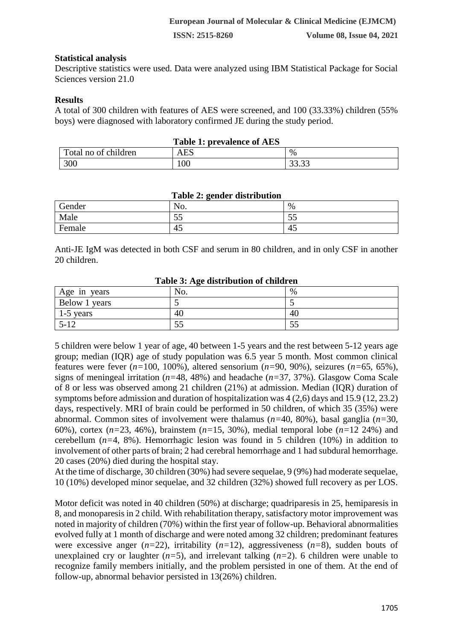# **Statistical analysis**

Descriptive statistics were used. Data were analyzed using IBM Statistical Package for Social Sciences version 21.0

### **Results**

A total of 300 children with features of AES were screened, and 100 (33.33%) children (55% boys) were diagnosed with laboratory confirmed JE during the study period.

| <b>Table 1: prevalence of AES</b> |                             |                |  |  |  |
|-----------------------------------|-----------------------------|----------------|--|--|--|
| Total no of children              | $\mathop{\rm AES}\nolimits$ | $\%$           |  |  |  |
| 300                               | 100                         | ററ ററ<br>JJ.JJ |  |  |  |

#### **Table 2: gender distribution**

| --------      |          |                                 |  |  |  |
|---------------|----------|---------------------------------|--|--|--|
| <b>Gender</b> | No.      | %                               |  |  |  |
| Male          | --<br>ັບ | $ -$<br>ັບ                      |  |  |  |
| Female        | 45       | $\overline{\phantom{0}}$<br>-45 |  |  |  |

Anti-JE IgM was detected in both CSF and serum in 80 children, and in only CSF in another 20 children.

| Table 5. Age distribution of emigrent |                |      |  |  |  |
|---------------------------------------|----------------|------|--|--|--|
| Age in years                          | N <sub>O</sub> | $\%$ |  |  |  |
| Below 1 years                         |                |      |  |  |  |
| 1-5 years                             | 40             | 40   |  |  |  |
| $5 - 12$                              | IJ             | СC   |  |  |  |

#### **Table 3: Age distribution of children**

5 children were below 1 year of age, 40 between 1-5 years and the rest between 5-12 years age group; median (IQR) age of study population was 6.5 year 5 month. Most common clinical features were fever (*n=*100, 100%), altered sensorium (*n=*90, 90%), seizures (*n=*65, 65%), signs of meningeal irritation (*n=*48, 48%) and headache (*n=*37, 37%). Glasgow Coma Scale of 8 or less was observed among 21 children (21%) at admission. Median (IQR) duration of symptoms before admission and duration of hospitalization was 4 (2,6) days and 15.9 (12, 23.2) days, respectively. MRI of brain could be performed in 50 children, of which 35 (35%) were abnormal. Common sites of involvement were thalamus (*n=*40, 80%), basal ganglia (*n=*30, 60%), cortex (*n=*23, 46%), brainstem (*n=*15, 30%), medial temporal lobe (*n=*12 24%) and cerebellum (*n=*4, 8%). Hemorrhagic lesion was found in 5 children (10%) in addition to involvement of other parts of brain; 2 had cerebral hemorrhage and 1 had subdural hemorrhage. 20 cases (20%) died during the hospital stay.

At the time of discharge, 30 children (30%) had severe sequelae, 9 (9%) had moderate sequelae, 10 (10%) developed minor sequelae, and 32 children (32%) showed full recovery as per LOS.

Motor deficit was noted in 40 children (50%) at discharge; quadriparesis in 25, hemiparesis in 8, and monoparesis in 2 child. With rehabilitation therapy, satisfactory motor improvement was noted in majority of children (70%) within the first year of follow-up. Behavioral abnormalities evolved fully at 1 month of discharge and were noted among 32 children; predominant features were excessive anger  $(n=22)$ , irritability  $(n=12)$ , aggressiveness  $(n=8)$ , sudden bouts of unexplained cry or laughter (*n=*5), and irrelevant talking (*n=*2). 6 children were unable to recognize family members initially, and the problem persisted in one of them. At the end of follow-up, abnormal behavior persisted in 13(26%) children.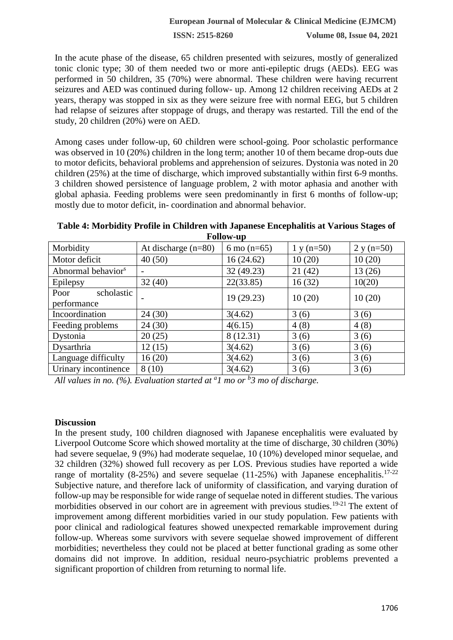**ISSN: 2515-8260 Volume 08, Issue 04, 2021**

In the acute phase of the disease, 65 children presented with seizures, mostly of generalized tonic clonic type; 30 of them needed two or more anti-epileptic drugs (AEDs). EEG was performed in 50 children, 35 (70%) were abnormal. These children were having recurrent seizures and AED was continued during follow- up. Among 12 children receiving AEDs at 2 years, therapy was stopped in six as they were seizure free with normal EEG, but 5 children had relapse of seizures after stoppage of drugs, and therapy was restarted. Till the end of the study, 20 children (20%) were on AED.

Among cases under follow-up, 60 children were school-going. Poor scholastic performance was observed in 10 (20%) children in the long term; another 10 of them became drop-outs due to motor deficits, behavioral problems and apprehension of seizures. Dystonia was noted in 20 children (25%) at the time of discharge, which improved substantially within first 6-9 months. 3 children showed persistence of language problem, 2 with motor aphasia and another with global aphasia. Feeding problems were seen predominantly in first 6 months of follow-up; mostly due to motor deficit, in- coordination and abnormal behavior.

**Table 4: Morbidity Profile in Children with Japanese Encephalitis at Various Stages of Follow-up**

| Morbidity                         | At discharge $(n=80)$ | 6 mo $(n=65)$ | $1 y (n=50)$ | $2 y (n=50)$ |
|-----------------------------------|-----------------------|---------------|--------------|--------------|
| Motor deficit                     | 40(50)                | 16(24.62)     | 10(20)       | 10(20)       |
| Abnormal behavior <sup>s</sup>    |                       | 32 (49.23)    | 21(42)       | 13(26)       |
| Epilepsy                          | 32(40)                | 22(33.85)     | 16(32)       | 10(20)       |
| scholastic<br>Poor<br>performance |                       | 19(29.23)     | 10(20)       | 10(20)       |
| Incoordination                    | 24(30)                | 3(4.62)       | 3(6)         | 3(6)         |
| Feeding problems                  | 24(30)                | 4(6.15)       | 4(8)         | 4(8)         |
| Dystonia                          | 20(25)                | 8 (12.31)     | 3(6)         | 3(6)         |
| Dysarthria                        | 12(15)                | 3(4.62)       | 3(6)         | 3(6)         |
| Language difficulty               | 16(20)                | 3(4.62)       | 3(6)         | 3(6)         |
| Urinary incontinence              | 8(10)                 | 3(4.62)       | 3(6)         | 3(6)         |

*All values in no. (%). Evaluation started at <sup>a</sup> 1 mo or <sup>b</sup> 3 mo of discharge.*

#### **Discussion**

In the present study, 100 children diagnosed with Japanese encephalitis were evaluated by Liverpool Outcome Score which showed mortality at the time of discharge, 30 children (30%) had severe sequelae, 9 (9%) had moderate sequelae, 10 (10%) developed minor sequelae, and 32 children (32%) showed full recovery as per LOS. Previous studies have reported a wide range of mortality (8-25%) and severe sequelae (11-25%) with Japanese encephalitis.<sup>17-22</sup> Subjective nature, and therefore lack of uniformity of classification, and varying duration of follow-up may be responsible for wide range of sequelae noted in different studies. The various morbidities observed in our cohort are in agreement with previous studies.<sup>19-21</sup> The extent of improvement among different morbidities varied in our study population. Few patients with poor clinical and radiological features showed unexpected remarkable improvement during follow-up. Whereas some survivors with severe sequelae showed improvement of different morbidities; nevertheless they could not be placed at better functional grading as some other domains did not improve. In addition, residual neuro-psychiatric problems prevented a significant proportion of children from returning to normal life.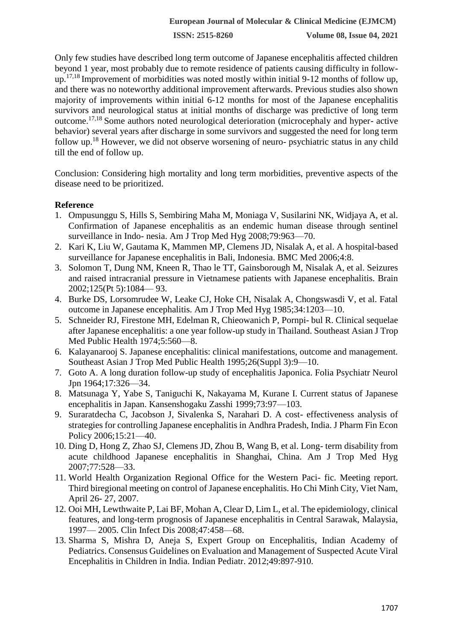**ISSN: 2515-8260 Volume 08, Issue 04, 2021**

Only few studies have described long term outcome of Japanese encephalitis affected children beyond 1 year, most probably due to remote residence of patients causing difficulty in followup.17,18 Improvement of morbidities was noted mostly within initial 9-12 months of follow up, and there was no noteworthy additional improvement afterwards. Previous studies also shown majority of improvements within initial 6-12 months for most of the Japanese encephalitis survivors and neurological status at initial months of discharge was predictive of long term outcome.17,18 Some authors noted neurological deterioration (microcephaly and hyper- active behavior) several years after discharge in some survivors and suggested the need for long term follow up.<sup>18</sup> However, we did not observe worsening of neuro- psychiatric status in any child till the end of follow up.

Conclusion: Considering high mortality and long term morbidities, preventive aspects of the disease need to be prioritized.

# **Reference**

- 1. Ompusunggu S, Hills S, Sembiring Maha M, Moniaga V, Susilarini NK, Widjaya A, et al. Confirmation of Japanese encephalitis as an endemic human disease through sentinel surveillance in Indo- nesia. Am J Trop Med Hyg 2008;79:963—70.
- 2. Kari K, Liu W, Gautama K, Mammen MP, Clemens JD, Nisalak A, et al. A hospital-based surveillance for Japanese encephalitis in Bali, Indonesia. BMC Med 2006;4:8.
- 3. Solomon T, Dung NM, Kneen R, Thao le TT, Gainsborough M, Nisalak A, et al. Seizures and raised intracranial pressure in Vietnamese patients with Japanese encephalitis. Brain 2002;125(Pt 5):1084— 93.
- 4. Burke DS, Lorsomrudee W, Leake CJ, Hoke CH, Nisalak A, Chongswasdi V, et al. Fatal outcome in Japanese encephalitis. Am J Trop Med Hyg 1985;34:1203—10.
- 5. Schneider RJ, Firestone MH, Edelman R, Chieowanich P, Pornpi- bul R. Clinical sequelae after Japanese encephalitis: a one year follow-up study in Thailand. Southeast Asian J Trop Med Public Health 1974;5:560—8.
- 6. Kalayanarooj S. Japanese encephalitis: clinical manifestations, outcome and management. Southeast Asian J Trop Med Public Health 1995;26(Suppl 3):9—10.
- 7. Goto A. A long duration follow-up study of encephalitis Japonica. Folia Psychiatr Neurol Jpn 1964;17:326—34.
- 8. Matsunaga Y, Yabe S, Taniguchi K, Nakayama M, Kurane I. Current status of Japanese encephalitis in Japan. Kansenshogaku Zasshi 1999;73:97—103.
- 9. Suraratdecha C, Jacobson J, Sivalenka S, Narahari D. A cost- effectiveness analysis of strategies for controlling Japanese encephalitis in Andhra Pradesh, India. J Pharm Fin Econ Policy 2006;15:21—40.
- 10. Ding D, Hong Z, Zhao SJ, Clemens JD, Zhou B, Wang B, et al. Long- term disability from acute childhood Japanese encephalitis in Shanghai, China. Am J Trop Med Hyg 2007;77:528—33.
- 11. World Health Organization Regional Office for the Western Paci- fic. Meeting report. Third biregional meeting on control of Japanese encephalitis. Ho Chi Minh City, Viet Nam, April 26- 27, 2007.
- 12. Ooi MH, Lewthwaite P, Lai BF, Mohan A, Clear D, Lim L, et al. The epidemiology, clinical features, and long-term prognosis of Japanese encephalitis in Central Sarawak, Malaysia, 1997— 2005. Clin Infect Dis 2008;47:458—68.
- 13. Sharma S, Mishra D, Aneja S, Expert Group on Encephalitis, Indian Academy of Pediatrics. Consensus Guidelines on Evaluation and Management of Suspected Acute Viral Encephalitis in Children in India. Indian Pediatr. 2012;49:897-910.